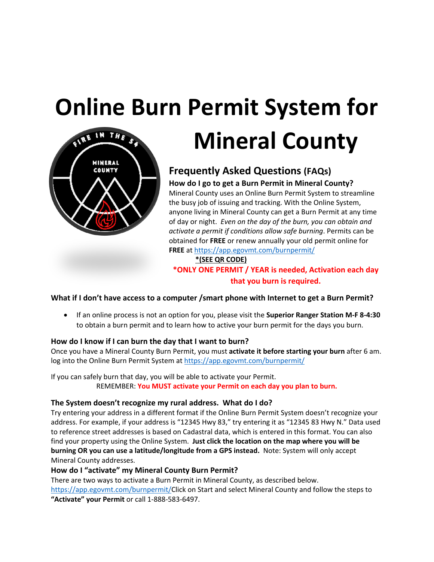## **Online Burn Permit System for**



# **Mineral County**

### **Frequently Asked Questions (FAQs)**

**How do I go to get a Burn Permit in Mineral County?** Mineral County uses an Online Burn Permit System to streamline the busy job of issuing and tracking. With the Online System, anyone living in Mineral County can get a Burn Permit at any time of day or night. *Even on the day of the burn, you can obtain and activate a permit if conditions allow safe burning*. Permits can be obtained for **FREE** or renew annually your old permit online for **FREE** at https://app.egovmt.com/burnpermit/

**\*(SEE QR CODE)**

**\*ONLY ONE PERMIT / YEAR is needed, Activation each day that you burn is required.**

#### **What if I don't have access to a computer /smart phone with Internet to get a Burn Permit?**

• If an online process is not an option for you, please visit the **Superior Ranger Station M-F 8-4:30** to obtain a burn permit and to learn how to active your burn permit for the days you burn.

#### **How do I know if I can burn the day that I want to burn?**

Once you have a Mineral County Burn Permit, you must **activate it before starting your burn** after 6 am. log into the Online Burn Permit System at https://app.egovmt.com/burnpermit/

If you can safely burn that day, you will be able to activate your Permit. REMEMBER: **You MUST activate your Permit on each day you plan to burn.**

#### **The System doesn't recognize my rural address. What do I do?**

Try entering your address in a different format if the Online Burn Permit System doesn't recognize your address. For example, if your address is "12345 Hwy 83," try entering it as "12345 83 Hwy N." Data used to reference street addresses is based on Cadastral data, which is entered in this format. You can also find your property using the Online System. **Just click the location on the map where you will be burning OR you can use a latitude/longitude from a GPS instead.** Note: System will only accept Mineral County addresses.

#### **How do I "activate" my Mineral County Burn Permit?**

There are two ways to activate a Burn Permit in Mineral County, as described below. https://app.egovmt.com/burnpermit/Click on Start and select Mineral County and follow the steps to **"Activate" your Permit** or call 1-888-583-6497.